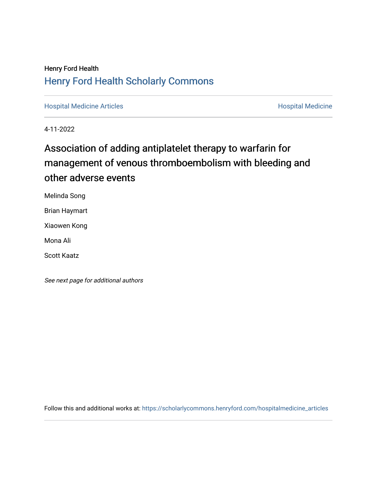## Henry Ford Health [Henry Ford Health Scholarly Commons](https://scholarlycommons.henryford.com/)

[Hospital Medicine Articles](https://scholarlycommons.henryford.com/hospitalmedicine_articles) **Hospital Medicine** 

4-11-2022

# Association of adding antiplatelet therapy to warfarin for management of venous thromboembolism with bleeding and other adverse events

Melinda Song

Brian Haymart

Xiaowen Kong

Mona Ali

Scott Kaatz

See next page for additional authors

Follow this and additional works at: [https://scholarlycommons.henryford.com/hospitalmedicine\\_articles](https://scholarlycommons.henryford.com/hospitalmedicine_articles?utm_source=scholarlycommons.henryford.com%2Fhospitalmedicine_articles%2F67&utm_medium=PDF&utm_campaign=PDFCoverPages)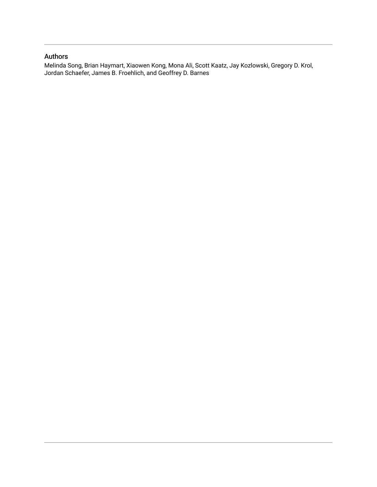### Authors

Melinda Song, Brian Haymart, Xiaowen Kong, Mona Ali, Scott Kaatz, Jay Kozlowski, Gregory D. Krol, Jordan Schaefer, James B. Froehlich, and Geoffrey D. Barnes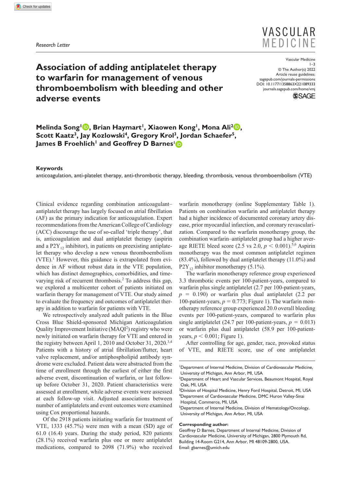*Research Letter*



## **Association of adding antiplatelet therapy to warfarin for management of venous thromboembolism with bleeding and other adverse events**

DOI: 10.1177/1358863X221089333 Vascular Medicine 1–3 © The Author(s) 2022 Article reuse guidelines: [sagepub.com/journals-permissions](https://uk.sagepub.com/en-gb/journals-permissions) [journals.sagepub.com/home/vmj](https://journals.sagepub.com/home/vmj)



**Melinda Song<sup>1</sup> <b>D**, Brian Haymart<sup>1</sup>, Xiaowen Kong<sup>1</sup>, Mona Ali<sup>2</sup> **D**, Scott Kaatz<sup>3</sup>, Jay Kozlowski<sup>4</sup>, Gregory Krol<sup>3</sup>, Jordan Schaefer<sup>5</sup>, **James B Froehlich<sup>1</sup> and Geoffrey D Barnes<sup>1</sup><sup>D</sup>** 

#### **Keywords**

anticoagulation, anti-platelet therapy, anti-thrombotic therapy, bleeding, thrombosis, venous thromboembolism (VTE)

Clinical evidence regarding combination anticoagulant– antiplatelet therapy has largely focused on atrial fibrillation (AF) as the primary indication for anticoagulation. Expert recommendations from the American College of Cardiology (ACC) discourage the use of so-called 'triple therapy', that is, anticoagulation and dual antiplatelet therapy (aspirin and a  $P2Y_{12}$  inhibitor), in patients on preexisting antiplatelet therapy who develop a new venous thromboembolism (VTE).<sup>1</sup> However, this guidance is extrapolated from evidence in AF without robust data in the VTE population, which has distinct demographics, comorbidities, and timevarying risk of recurrent thrombosis.<sup>2</sup> To address this gap, we explored a multicenter cohort of patients initiated on warfarin therapy for management of VTE. Our study aimed to evaluate the frequency and outcomes of antiplatelet therapy in addition to warfarin for patients with VTE.

We retrospectively analyzed adult patients in the Blue Cross Blue Shield-sponsored Michigan Anticoagulation Quality Improvement Initiative (MAQI<sup>2</sup>) registry who were newly initiated on warfarin therapy for VTE and entered in the registry between April 1, 2010 and October 31, 2020.<sup>3,4</sup> Patients with a history of atrial fibrillation/flutter, heart valve replacement, and/or antiphospholipid antibody syndrome were excluded. Patient data were abstracted from the time of enrollment through the earliest of either the first adverse event, discontinuation of warfarin, or last followup before October 31, 2020. Patient characteristics were assessed at enrollment, while adverse events were assessed at each follow-up visit. Adjusted associations between number of antiplatelets and event outcomes were examined using Cox proportional hazards.

Of the 2918 patients initiating warfarin for treatment of VTE, 1333 (45.7%) were men with a mean (SD) age of 61.0 (16.4) years. During the study period, 820 patients (28.1%) received warfarin plus one or more antiplatelet medications, compared to 2098 (71.9%) who received

warfarin monotherapy (online Supplementary Table 1). Patients on combination warfarin and antiplatelet therapy had a higher incidence of documented coronary artery disease, prior myocardial infarction, and coronary revascularization. Compared to the warfarin monotherapy group, the combination warfarin–antiplatelet group had a higher average RIETE bleed score (2.5 vs 2.0,  $p < 0.001$ ).<sup>5,6</sup> Aspirin monotherapy was the most common antiplatelet regimen (83.4%), followed by dual antiplatelet therapy (11.0%) and  $P2Y_{12}$  inhibitor monotherapy (5.1%).

The warfarin monotherapy reference group experienced 3.3 thrombotic events per 100-patient-years, compared to warfarin plus single antiplatelet (2.7 per 100-patient-years,  $p = 0.190$ ) or warfarin plus dual antiplatelet  $(2.2 \text{ per})$ 100-patient-years,  $p = 0.773$ ; Figure 1). The warfarin monotherapy reference group experienced 20.0 overall bleeding events per 100-patient-years, compared to warfarin plus single antiplatelet (24.7 per 100-patient-years,  $p = 0.013$ ) or warfarin plus dual antiplatelet (58.9 per 100-patientyears,  $p < 0.001$ ; Figure 1).

After controlling for age, gender, race, provoked status of VTE, and RIETE score, use of one antiplatelet

#### **Corresponding author:**

<sup>1</sup> Department of Internal Medicine, Division of Cardiovascular Medicine, University of Michigan, Ann Arbor, MI, USA

<sup>&</sup>lt;sup>2</sup>Department of Heart and Vascular Services, Beaumont Hospital, Royal Oak, MI, USA

<sup>&</sup>lt;sup>3</sup>Division of Hospital Medicine, Henry Ford Hospital, Detroit, MI, USA 4 Department of Cardiovascular Medicine, DMC Huron Valley-Sinai Hospital, Commerce, MI, USA

<sup>&</sup>lt;sup>5</sup>Department of Internal Medicine, Division of Hematology/Oncology, University of Michigan, Ann Arbor, MI, USA

Geoffrey D Barnes, Department of Internal Medicine, Division of Cardiovascular Medicine, University of Michigan, 2800 Plymouth Rd, Building 14-Room G214, Ann Arbor, MI 48109-2800, USA. Email: [gbarnes@umich.edu](mailto:gbarnes@umich.edu)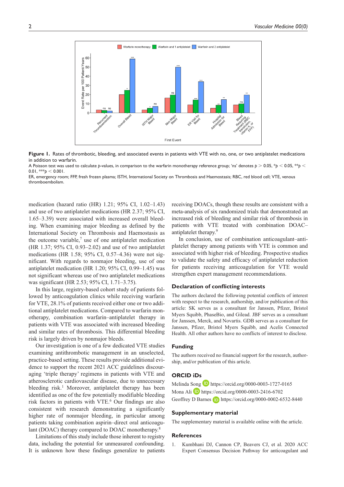

**Figure 1.** Rates of thrombotic, bleeding, and associated events in patients with VTE with no, one, or two antiplatelet medications in addition to warfarin.

A Poisson test was used to calculate *p*-values, in comparison to the warfarin monotherapy reference group; 'ns' denotes *p* > 0.05, \**p* < 0.05, \*\**p* < 0.01, \*\*\* $p < 0.001$ .

ER, emergency room; FFP, fresh frozen plasma; ISTH, International Society on Thrombosis and Haemostasis; RBC, red blood cell; VTE, venous thromboembolism.

medication (hazard ratio (HR) 1.21; 95% CI, 1.02–1.43) and use of two antiplatelet medications (HR 2.37; 95% CI, 1.65–3.39) were associated with increased overall bleeding. When examining major bleeding as defined by the International Society on Thrombosis and Haemostasis as the outcome variable, $7$  use of one antiplatelet medication (HR 1.37; 95% CI, 0.93–2.02) and use of two antiplatelet medications (HR 1.58; 95% CI, 0.57–4.36) were not significant. With regards to nonmajor bleeding, use of one antiplatelet medication (HR 1.20; 95% CI, 0.99–1.45) was not significant whereas use of two antiplatelet medications was significant (HR 2.53; 95% CI, 1.71–3.75).

In this large, registry-based cohort study of patients followed by anticoagulation clinics while receiving warfarin for VTE, 28.1% of patients received either one or two additional antiplatelet medications. Compared to warfarin monotherapy, combination warfarin–antiplatelet therapy in patients with VTE was associated with increased bleeding and similar rates of thrombosis. This differential bleeding risk is largely driven by nonmajor bleeds.

Our investigation is one of a few dedicated VTE studies examining antithrombotic management in an unselected, practice-based setting. These results provide additional evidence to support the recent 2021 ACC guidelines discouraging 'triple therapy' regimens in patients with VTE and atherosclerotic cardiovascular disease, due to unnecessary bleeding risk.<sup>1</sup> Moreover, antiplatelet therapy has been identified as one of the few potentially modifiable bleeding risk factors in patients with VTE.<sup>6</sup> Our findings are also consistent with research demonstrating a significantly higher rate of nonmajor bleeding, in particular among patients taking combination aspirin–direct oral anticoagulant (DOAC) therapy compared to DOAC monotherapy.<sup>8</sup>

Limitations of this study include those inherent to registry data, including the potential for unmeasured confounding. It is unknown how these findings generalize to patients receiving DOACs, though these results are consistent with a meta-analysis of six randomized trials that demonstrated an increased risk of bleeding and similar risk of thrombosis in patients with VTE treated with combination DOAC– antiplatelet therapy.9

In conclusion, use of combination anticoagulant–antiplatelet therapy among patients with VTE is common and associated with higher risk of bleeding. Prospective studies to validate the safety and efficacy of antiplatelet reduction for patients receiving anticoagulation for VTE would strengthen expert management recommendations.

#### **Declaration of conflicting interests**

The authors declared the following potential conflicts of interest with respect to the research, authorship, and/or publication of this article: SK serves as a consultant for Janssen, Pfizer, Bristol Myers Squibb, PhaseBio, and Gilead. JBF serves as a consultant for Janssen, Merck, and Novartis. GDB serves as a consultant for Janssen, Pfizer, Bristol Myers Squibb, and Acelis Connected Health. All other authors have no conflicts of interest to disclose.

#### **Funding**

The authors received no financial support for the research, authorship, and/or publication of this article.

#### **ORCID iDs**

Melinda Song D <https://orcid.org/0000-0003-1727-0165> Mona Ali **D** <https://orcid.org/0000-0003-2416-6702> Geoffrey D Barnes **b** <https://orcid.org/0000-0002-6532-8440>

#### **Supplementary material**

The supplementary material is available online with the article.

#### **References**

1. Kumbhani DJ, Cannon CP, Beavers CJ, et al. 2020 ACC Expert Consensus Decision Pathway for anticoagulant and